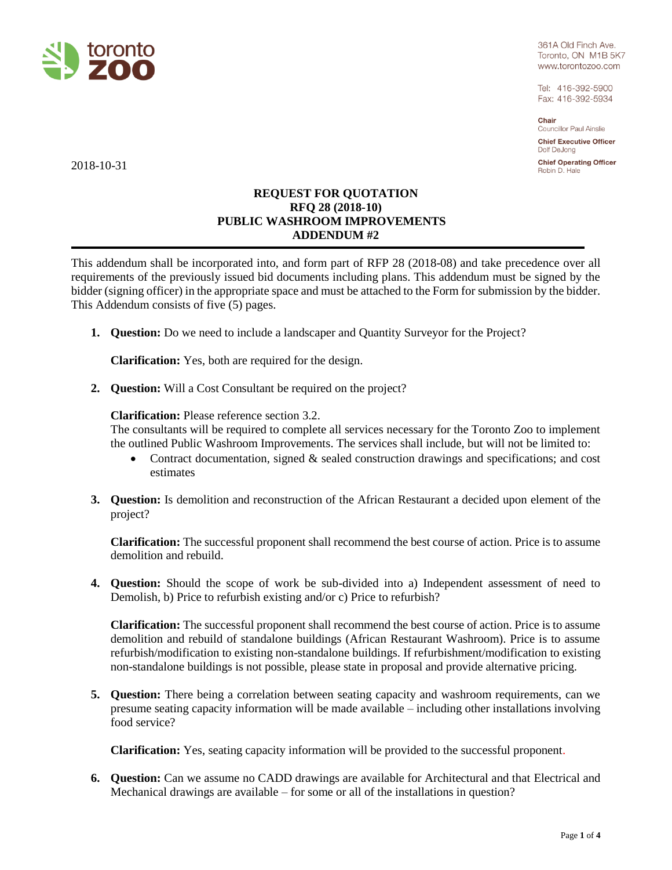

361A Old Finch Ave. Toronto, ON M1B 5K7 www.torontozoo.com

Tel: 416-392-5900 Fax: 416-392-5934

Chair Councillor Paul Ainslie

**Chief Executive Officer** Dolf De Jong

**Chief Operating Officer** Robin D. Hale

2018-10-31

# **REQUEST FOR QUOTATION RFQ 28 (2018-10) PUBLIC WASHROOM IMPROVEMENTS ADDENDUM #2**

This addendum shall be incorporated into, and form part of RFP 28 (2018-08) and take precedence over all requirements of the previously issued bid documents including plans. This addendum must be signed by the bidder (signing officer) in the appropriate space and must be attached to the Form for submission by the bidder. This Addendum consists of five (5) pages.

**1. Question:** Do we need to include a landscaper and Quantity Surveyor for the Project?

**Clarification:** Yes, both are required for the design.

**2. Question:** Will a Cost Consultant be required on the project?

## **Clarification:** Please reference section 3.2.

The consultants will be required to complete all services necessary for the Toronto Zoo to implement the outlined Public Washroom Improvements. The services shall include, but will not be limited to:

- Contract documentation, signed  $\&$  sealed construction drawings and specifications; and cost estimates
- **3. Question:** Is demolition and reconstruction of the African Restaurant a decided upon element of the project?

**Clarification:** The successful proponent shall recommend the best course of action. Price is to assume demolition and rebuild.

**4. Question:** Should the scope of work be sub-divided into a) Independent assessment of need to Demolish, b) Price to refurbish existing and/or c) Price to refurbish?

**Clarification:** The successful proponent shall recommend the best course of action. Price is to assume demolition and rebuild of standalone buildings (African Restaurant Washroom). Price is to assume refurbish/modification to existing non-standalone buildings. If refurbishment/modification to existing non-standalone buildings is not possible, please state in proposal and provide alternative pricing.

**5. Question:** There being a correlation between seating capacity and washroom requirements, can we presume seating capacity information will be made available – including other installations involving food service?

**Clarification:** Yes, seating capacity information will be provided to the successful proponent.

**6. Question:** Can we assume no CADD drawings are available for Architectural and that Electrical and Mechanical drawings are available – for some or all of the installations in question?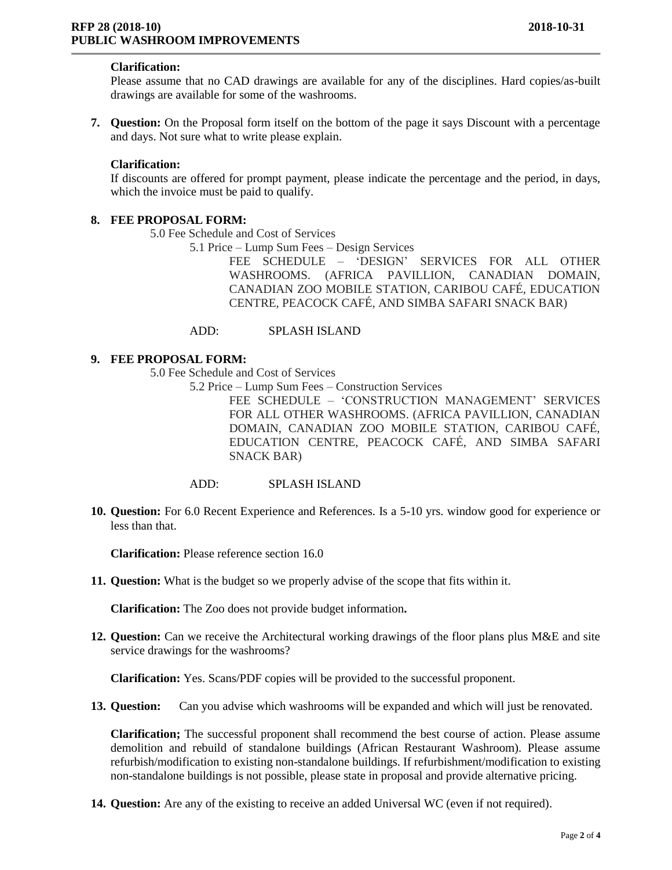### **Clarification:**

Please assume that no CAD drawings are available for any of the disciplines. Hard copies/as-built drawings are available for some of the washrooms.

**7. Question:** On the Proposal form itself on the bottom of the page it says Discount with a percentage and days. Not sure what to write please explain.

#### **Clarification:**

If discounts are offered for prompt payment, please indicate the percentage and the period, in days, which the invoice must be paid to qualify.

### **8. FEE PROPOSAL FORM:**

5.0 Fee Schedule and Cost of Services

5.1 Price – Lump Sum Fees – Design Services

FEE SCHEDULE – 'DESIGN' SERVICES FOR ALL OTHER WASHROOMS. (AFRICA PAVILLION, CANADIAN DOMAIN, CANADIAN ZOO MOBILE STATION, CARIBOU CAFÉ, EDUCATION CENTRE, PEACOCK CAFÉ, AND SIMBA SAFARI SNACK BAR)

#### ADD: SPLASH ISLAND

### **9. FEE PROPOSAL FORM:**

5.0 Fee Schedule and Cost of Services

5.2 Price – Lump Sum Fees – Construction Services

FEE SCHEDULE – 'CONSTRUCTION MANAGEMENT' SERVICES FOR ALL OTHER WASHROOMS. (AFRICA PAVILLION, CANADIAN DOMAIN, CANADIAN ZOO MOBILE STATION, CARIBOU CAFÉ, EDUCATION CENTRE, PEACOCK CAFÉ, AND SIMBA SAFARI SNACK BAR)

## ADD: SPLASH ISLAND

**10. Question:** For 6.0 Recent Experience and References. Is a 5-10 yrs. window good for experience or less than that.

**Clarification:** Please reference section 16.0

**11. Question:** What is the budget so we properly advise of the scope that fits within it.

**Clarification:** The Zoo does not provide budget information**.**

**12. Question:** Can we receive the Architectural working drawings of the floor plans plus M&E and site service drawings for the washrooms?

**Clarification:** Yes. Scans/PDF copies will be provided to the successful proponent.

**13. Question:** Can you advise which washrooms will be expanded and which will just be renovated.

**Clarification;** The successful proponent shall recommend the best course of action. Please assume demolition and rebuild of standalone buildings (African Restaurant Washroom). Please assume refurbish/modification to existing non-standalone buildings. If refurbishment/modification to existing non-standalone buildings is not possible, please state in proposal and provide alternative pricing.

**14. Question:** Are any of the existing to receive an added Universal WC (even if not required).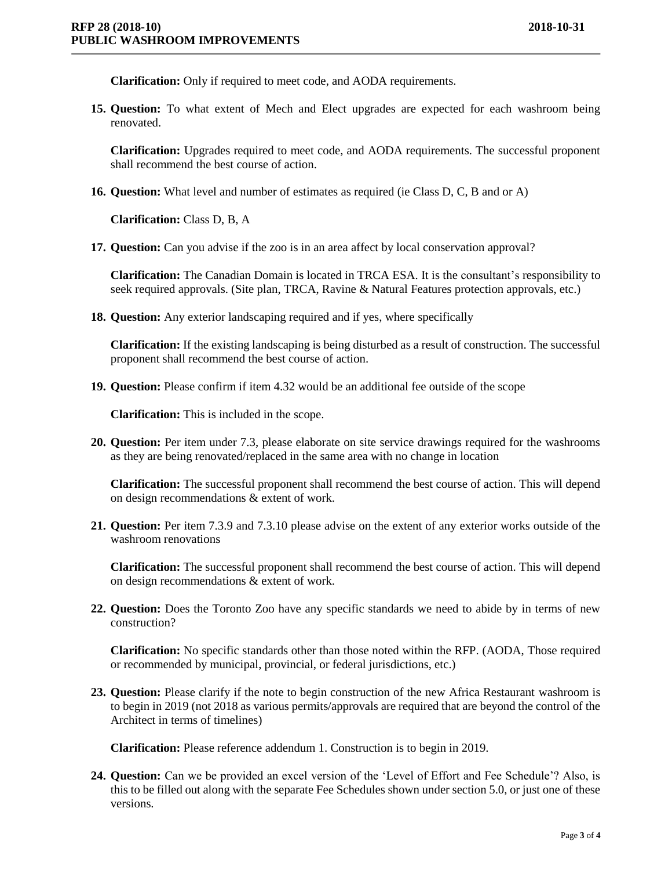**Clarification:** Only if required to meet code, and AODA requirements.

**15. Question:** To what extent of Mech and Elect upgrades are expected for each washroom being renovated.

**Clarification:** Upgrades required to meet code, and AODA requirements. The successful proponent shall recommend the best course of action.

**16. Question:** What level and number of estimates as required (ie Class D, C, B and or A)

**Clarification:** Class D, B, A

**17. Question:** Can you advise if the zoo is in an area affect by local conservation approval?

**Clarification:** The Canadian Domain is located in TRCA ESA. It is the consultant's responsibility to seek required approvals. (Site plan, TRCA, Ravine & Natural Features protection approvals, etc.)

**18. Question:** Any exterior landscaping required and if yes, where specifically

**Clarification:** If the existing landscaping is being disturbed as a result of construction. The successful proponent shall recommend the best course of action.

**19. Question:** Please confirm if item 4.32 would be an additional fee outside of the scope

**Clarification:** This is included in the scope.

**20. Question:** Per item under 7.3, please elaborate on site service drawings required for the washrooms as they are being renovated/replaced in the same area with no change in location

**Clarification:** The successful proponent shall recommend the best course of action. This will depend on design recommendations & extent of work.

**21. Question:** Per item 7.3.9 and 7.3.10 please advise on the extent of any exterior works outside of the washroom renovations

**Clarification:** The successful proponent shall recommend the best course of action. This will depend on design recommendations & extent of work.

**22. Question:** Does the Toronto Zoo have any specific standards we need to abide by in terms of new construction?

**Clarification:** No specific standards other than those noted within the RFP. (AODA, Those required or recommended by municipal, provincial, or federal jurisdictions, etc.)

**23. Question:** Please clarify if the note to begin construction of the new Africa Restaurant washroom is to begin in 2019 (not 2018 as various permits/approvals are required that are beyond the control of the Architect in terms of timelines)

**Clarification:** Please reference addendum 1. Construction is to begin in 2019.

**24. Question:** Can we be provided an excel version of the 'Level of Effort and Fee Schedule'? Also, is this to be filled out along with the separate Fee Schedules shown under section 5.0, or just one of these versions.